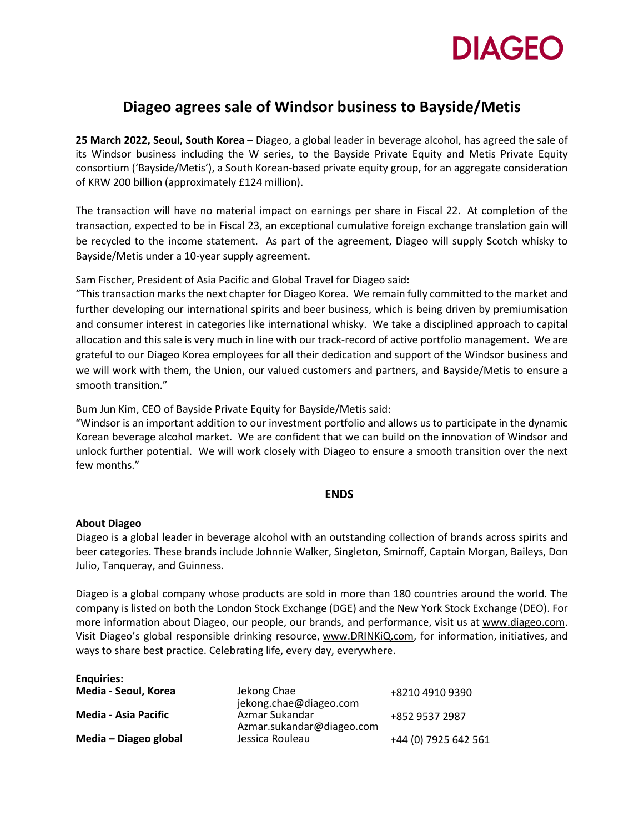

## **Diageo agrees sale of Windsor business to Bayside/Metis**

**25 March 2022, Seoul, South Korea** – Diageo, a global leader in beverage alcohol, has agreed the sale of its Windsor business including the W series, to the Bayside Private Equity and Metis Private Equity consortium ('Bayside/Metis'), a South Korean-based private equity group, for an aggregate consideration of KRW 200 billion (approximately £124 million).

The transaction will have no material impact on earnings per share in Fiscal 22. At completion of the transaction, expected to be in Fiscal 23, an exceptional cumulative foreign exchange translation gain will be recycled to the income statement. As part of the agreement, Diageo will supply Scotch whisky to Bayside/Metis under a 10-year supply agreement.

Sam Fischer, President of Asia Pacific and Global Travel for Diageo said:

"This transaction marks the next chapter for Diageo Korea. We remain fully committed to the market and further developing our international spirits and beer business, which is being driven by premiumisation and consumer interest in categories like international whisky. We take a disciplined approach to capital allocation and this sale is very much in line with our track-record of active portfolio management. We are grateful to our Diageo Korea employees for all their dedication and support of the Windsor business and we will work with them, the Union, our valued customers and partners, and Bayside/Metis to ensure a smooth transition."

Bum Jun Kim, CEO of Bayside Private Equity for Bayside/Metis said:

"Windsor is an important addition to our investment portfolio and allows us to participate in the dynamic Korean beverage alcohol market. We are confident that we can build on the innovation of Windsor and unlock further potential. We will work closely with Diageo to ensure a smooth transition over the next few months."

## **ENDS**

## **About Diageo**

Diageo is a global leader in beverage alcohol with an outstanding collection of brands across spirits and beer categories. These brands include Johnnie Walker, Singleton, Smirnoff, Captain Morgan, Baileys, Don Julio, Tanqueray, and Guinness.

Diageo is a global company whose products are sold in more than 180 countries around the world. The company is listed on both the London Stock Exchange (DGE) and the New York Stock Exchange (DEO). For more information about Diageo, our people, our brands, and performance, visit us at [www.diageo.com.](http://www.diageo.com/) Visit Diageo's global responsible drinking resource, [www.DRINKiQ.com](http://www.drinkiq.com/), for information, initiatives, and ways to share best practice. Celebrating life, every day, everywhere.

| <b>Enquiries:</b>           |                                             |                      |
|-----------------------------|---------------------------------------------|----------------------|
| Media - Seoul, Korea        | Jekong Chae<br>jekong.chae@diageo.com       | +8210 4910 9390      |
| <b>Media - Asia Pacific</b> | Azmar Sukandar<br>Azmar.sukandar@diageo.com | +852 9537 2987       |
| Media – Diageo global       | Jessica Rouleau                             | +44 (0) 7925 642 561 |